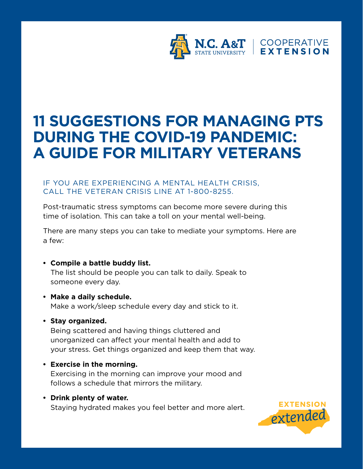

# **11 SUGGESTIONS FOR MANAGING PTS DURING THE COVID-19 PANDEMIC: A GUIDE FOR MILITARY VETERANS**

## IF YOU ARE EXPERIENCING A MENTAL HEALTH CRISIS, CALL THE VETERAN CRISIS LINE AT 1-800-8255.

Post-traumatic stress symptoms can become more severe during this time of isolation. This can take a toll on your mental well-being.

There are many steps you can take to mediate your symptoms. Here are a few:

- **Compile a battle buddy list.** The list should be people you can talk to daily. Speak to someone every day.
- **Make a daily schedule.**  Make a work/sleep schedule every day and stick to it.
- **Stay organized.**

Being scattered and having things cluttered and unorganized can affect your mental health and add to your stress. Get things organized and keep them that way.

- **Exercise in the morning.** Exercising in the morning can improve your mood and follows a schedule that mirrors the military.
- **Drink plenty of water.** Staying hydrated makes you feel better and more alert.